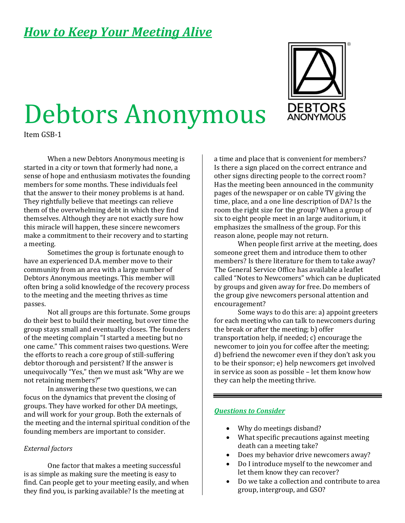# *How to Keep Your Meeting Alive*

# Debtors Anonymous

Item GSB-1

When a new Debtors Anonymous meeting is started in a city or town that formerly had none, a sense of hope and enthusiasm motivates the founding members for some months. These individuals feel that the answer to their money problems is at hand. They rightfully believe that meetings can relieve them of the overwhelming debt in which they find themselves. Although they are not exactly sure how this miracle will happen, these sincere newcomers make a commitment to their recovery and to starting a meeting.

Sometimes the group is fortunate enough to have an experienced D.A. member move to their community from an area with a large number of Debtors Anonymous meetings. This member will often bring a solid knowledge of the recovery process to the meeting and the meeting thrives as time passes.

Not all groups are this fortunate. Some groups do their best to build their meeting, but over time the group stays small and eventually closes. The founders of the meeting complain "I started a meeting but no one came." This comment raises two questions. Were the efforts to reach a core group of still-suffering debtor thorough and persistent? If the answer is unequivocally "Yes," then we must ask "Why are we not retaining members?"

In answering these two questions, we can focus on the dynamics that prevent the closing of groups. They have worked for other DA meetings, and will work for your group. Both the externals of the meeting and the internal spiritual condition of the founding members are important to consider.

#### *External factors*

One factor that makes a meeting successful is as simple as making sure the meeting is easy to find. Can people get to your meeting easily, and when they find you, is parking available? Is the meeting at

a time and place that is convenient for members? Is there a sign placed on the correct entrance and other signs directing people to the correct room? Has the meeting been announced in the community pages of the newspaper or on cable TV giving the time, place, and a one line description of DA? Is the room the right size for the group? When a group of six to eight people meet in an large auditorium, it emphasizes the smallness of the group. For this reason alone, people may not return.

When people first arrive at the meeting, does someone greet them and introduce them to other members? Is there literature for them to take away? The General Service Office has available a leaflet called "Notes to Newcomers" which can be duplicated by groups and given away for free. Do members of the group give newcomers personal attention and encouragement?

Some ways to do this are: a) appoint greeters for each meeting who can talk to newcomers during the break or after the meeting; b) offer transportation help, if needed; c) encourage the newcomer to join you for coffee after the meeting; d) befriend the newcomer even if they don't ask you to be their sponsor; e) help newcomers get involved in service as soon as possible – let them know how they can help the meeting thrive.

#### *Questions to Consider*

- Why do meetings disband?
- What specific precautions against meeting death can a meeting take?
- Does my behavior drive newcomers away?
- Do I introduce myself to the newcomer and let them know they can recover?
- Do we take a collection and contribute to area group, intergroup, and GSO?